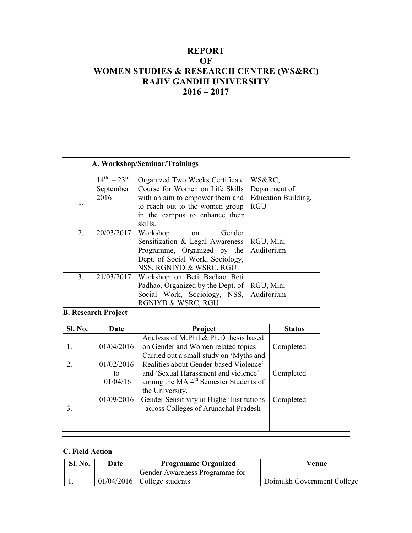## **REPORT** OF WOMEN STUDIES & RESEARCH CENTRE (WS&RC) RAJIV GANDHI UNIVERSITY  $2016 - 2017$

## A. Workshop/Seminar/Trainings

|                | $14^{th} - 23^{rd}$ | Organized Two Weeks Certificate   | WS&RC,              |
|----------------|---------------------|-----------------------------------|---------------------|
| 1.             | September           | Course for Women on Life Skills   | Department of       |
|                | 2016                | with an aim to empower them and   | Education Building, |
|                |                     | to reach out to the women group   | <b>RGU</b>          |
|                |                     | in the campus to enhance their    |                     |
|                |                     | skills.                           |                     |
| 2.             | 20/03/2017          | Workshop<br>Gender<br>on          |                     |
|                |                     | Sensitization & Legal Awareness   | RGU, Mini           |
|                |                     | Programme, Organized by the       | Auditorium          |
|                |                     | Dept. of Social Work, Sociology,  |                     |
|                |                     | NSS, RGNIYD & WSRC, RGU           |                     |
| 3 <sub>1</sub> | 21/03/2017          | Workshop on Beti Bachao Beti      |                     |
|                |                     | Padhao, Organized by the Dept. of | RGU, Mini           |
|                |                     | Social Work, Sociology, NSS,      | Auditorium          |
|                |                     | RGNIYD & WSRC, RGU                |                     |

**B. Research Project** 

| Sl. No. | Date                         | Project                                                                                                                                                                                           | <b>Status</b> |
|---------|------------------------------|---------------------------------------------------------------------------------------------------------------------------------------------------------------------------------------------------|---------------|
|         |                              | Analysis of M.Phil & Ph.D thesis based                                                                                                                                                            |               |
|         | 01/04/2016                   | on Gender and Women related topics                                                                                                                                                                | Completed     |
|         | 01/02/2016<br>to<br>01/04/16 | Carried out a small study on 'Myths and<br>Realities about Gender-based Violence'<br>and 'Sexual Harassment and violence'<br>among the MA 4 <sup>th</sup> Semester Students of<br>the University. | Completed     |
| 3.      | 01/09/2016                   | Gender Sensitivity in Higher Institutions<br>across Colleges of Arunachal Pradesh                                                                                                                 | Completed     |

## C. Field Action

| Sl. No. | Date | <b>Programme Organized</b>     | Venue                      |
|---------|------|--------------------------------|----------------------------|
|         |      | Gender Awareness Programme for |                            |
|         |      | $01/04/2016$ College students  | Doimukh Government College |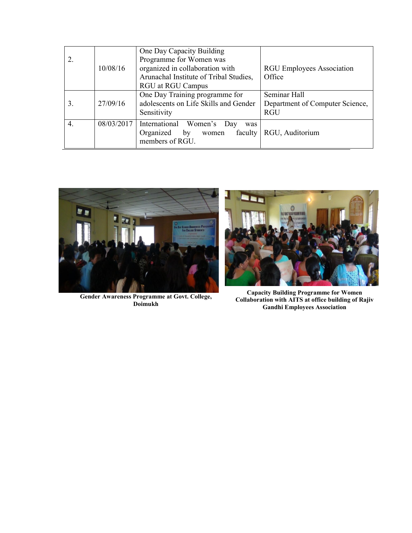|    |            | One Day Capacity Building              |                                  |
|----|------------|----------------------------------------|----------------------------------|
|    |            | Programme for Women was                |                                  |
|    | 10/08/16   | organized in collaboration with        | <b>RGU Employees Association</b> |
|    |            | Arunachal Institute of Tribal Studies, | Office                           |
|    |            | <b>RGU</b> at RGU Campus               |                                  |
|    |            | One Day Training programme for         | Seminar Hall                     |
| 3. | 27/09/16   | adolescents on Life Skills and Gender  | Department of Computer Science,  |
|    |            | Sensitivity                            | <b>RGU</b>                       |
| 4. | 08/03/2017 | International Women's Day<br>was       |                                  |
|    |            | faculty<br>Organized<br>by<br>women    | RGU, Auditorium                  |
|    |            | members of RGU.                        |                                  |



Gender Awareness Programme at Govt. College,<br>Doimukh



**Capacity Building Programme for Women<br>Collaboration with AITS at office building of Rajiv Gandhi Employees Association**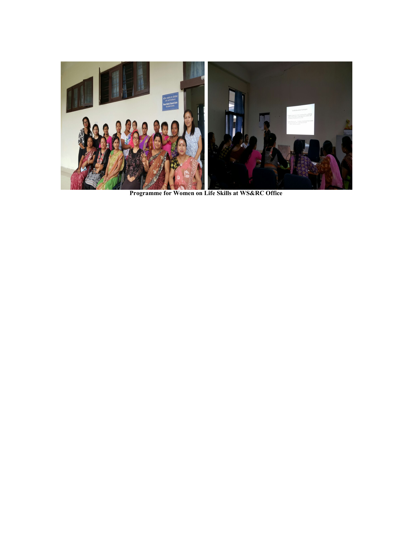

Programme for Women on Life Skills at WS&RC Office